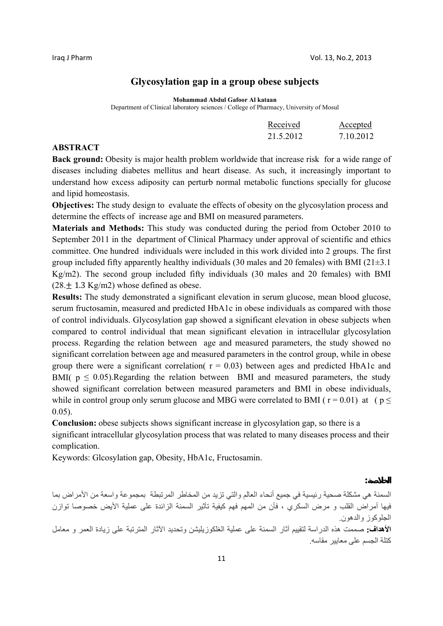**الخلاصة :**

# **Glycosylation gap in a group obese subjects**

**Mohammad Abdul Gafoor Al kataan** 

Department of Clinical laboratory sciences / College of Pharmacy, University of Mosul

| Received  | Accepted  |
|-----------|-----------|
| 21.5.2012 | 7.10.2012 |

# **ABSTRACT**

**Back ground:** Obesity is major health problem worldwide that increase risk for a wide range of diseases including diabetes mellitus and heart disease. As such, it increasingly important to understand how excess adiposity can perturb normal metabolic functions specially for glucose and lipid homeostasis.

**Objectives:** The study design to evaluate the effects of obesity on the glycosylation process and determine the effects of increase age and BMI on measured parameters.

**Materials and Methods:** This study was conducted during the period from October 2010 to September 2011 in the department of Clinical Pharmacy under approval of scientific and ethics committee. One hundred individuals were included in this work divided into 2 groups. The first group included fifty apparently healthy individuals (30 males and 20 females) with BMI ( $21\pm3.1$ Kg/m2). The second group included fifty individuals (30 males and 20 females) with BMI  $(28 + 1.3 \text{Kg/m2})$  whose defined as obese.

**Results:** The study demonstrated a significant elevation in serum glucose, mean blood glucose, serum fructosamin, measured and predicted HbA1c in obese individuals as compared with those of control individuals. Glycosylation gap showed a significant elevation in obese subjects when compared to control individual that mean significant elevation in intracellular glycosylation process. Regarding the relation between age and measured parameters, the study showed no significant correlation between age and measured parameters in the control group, while in obese group there were a significant correlation( $r = 0.03$ ) between ages and predicted HbA1c and BMI(  $p \le 0.05$ ). Regarding the relation between BMI and measured parameters, the study showed significant correlation between measured parameters and BMI in obese individuals, while in control group only serum glucose and MBG were correlated to BMI ( $r = 0.01$ ) at ( $p \le$ 0.05).

**Conclusion:** obese subjects shows significant increase in glycosylation gap, so there is a significant intracellular glycosylation process that was related to many diseases process and their complication.

Keywords: Glcosylation gap, Obesity, HbA1c, Fructosamin.

السمنة هي مشكلة صحية رئيسية في جميع أنحاء العالم والتي تزيد من المخاطر المرتبطة بمجموعة واسعة من الأمراض بما فيها أمراض القلب و مرض السكري ، فأن من المهم فهم كيفية تأثير السمنة الزائدة على عملية الأيض خصوصا توازن الجلوكوز والدهون **الأهداف:** صممت هذه الدراسة لتقييم آثار السمنة على عملية الغلكوزيليشن وتحديد الآثار المترتبة على زيادة العمر و معامل آتلة الجسم على معايير مقاسه.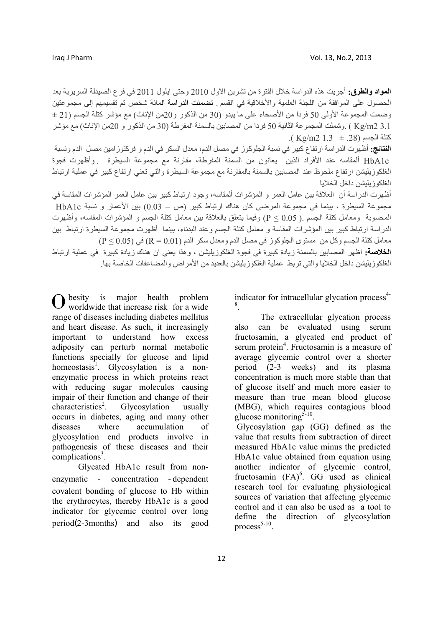**المواد والطرق:** أجريت هذه الدراسة خلال الفترة من تشرين الاول 2010 وحتى ايلول 2011 في فرع الصيدلة السريرية بعد الحصول على الموافقة من اللجنة العلمية والأخلاقية في القسم . تضمنت الدراسة المائة شخص تم تقسيمهم إلى مجموعتين  $\pm$  وضمت المجموعة الأولى 50 فردا من الأصحاء على ما يبدو  $(30$  من الذكور و $20$ من الإناث) مع مؤشر كتلة الجسم (21  $\pm$ 3.1 2m/Kg ( .وشملت المجموعة الثانية 50 فردا من المصابين بالسمنة المفرطة (30 من الذآور و 20من الإناث) مع مؤشر  $(Kg/m2 1.3 \pm 28)$  كتلة الجسم

**النتائج:** أظهرت الدراسة ارتفاع آبير في نسبة الجلوآوز في مصل الدم، معدل السكر في الدم و فرآتوزامين مصل الدم ونسبة c1HbA ألمقاسه عند الأفراد الذين يعانون من السمنة المفرطة، مقارنة مع مجموعة السيطرة . وأظهرت فجوة الغلكوز بليشن ارتفاع ملحوظ عند المصابين بالسمنة بالمقارنة مع مجموعة السيطرة والتي تعني ارتفاع كبير في عملية ارتباط الغلكوزيليشن داخل الخلايا

أظهرت الدر اسة أن العلاقة بين عامل العمر و المؤشرات ألمقاسه، وجود ارتباط كبير بين عامل العمر المؤشر ات المقاسة في مجموعة السيطرة ، بينما في مجموعة المرضى كان هناك ارتباط كبير (ص = 0.03) بين الأعمار و نسبة HbA1c المحسوبة ومعامل كتلة الجسم .( 0.05  $\times$  P (وفيما يتعلق بالعلاقة بين معامل كتلة الجسم و المؤشرات المقاسه، وأظهرت الدراسة ارتباط كبير بين المؤشرات المقاسة و معامل كتلة الجسم وعند البدناء، بينما أظهرت مجموعة السيطرة ارتباط بين معامل كتلة الجسم وكل من مستوى الجلوكوز في مصل الدم ومعدل سكر الدم (0.01 = R) في (0.05 ℃ P) **الخلاصة:** اظهر المصابين بالسمنة زيادة كبيرة في فجوة الغلكوزيليشن ، وهذا يعني ان هناك زيادة كبيرة في عملية ارتباط الغلكوزيليشن داخل الخلايا والتي تربط عملية الغلكوزيليشن بالعديد من الأمراض والمضاعفات الخاصة بها.

besity is major health problem O besity is major health problem<br>worldwide that increase risk for a wide range of diseases including diabetes mellitus and heart disease. As such, it increasingly important to understand how excess adiposity can perturb normal metabolic functions specially for glucose and lipid homeostasis<sup>1</sup>. Glycosylation is a nonenzymatic process in which proteins react with reducing sugar molecules causing impair of their function and change of their characteristics<sup>2</sup>. . Glycosylation usually occurs in diabetes, aging and many other diseases where accumulation of glycosylation end products involve in pathogenesis of these diseases and their complications<sup>3</sup>.

Glycated HbA1c result from nonenzymatic - concentration -dependent covalent bonding of glucose to Hb within the erythrocytes, thereby HbA1c is a good indicator for glycemic control over long period(2-3months) and also its good indicator for intracellular glycation process $4$ -8 .

The extracellular glycation process also can be evaluated using serum fructosamin, a glycated end product of serum protein<sup>4</sup>. Fructosamin is a measure of average glycemic control over a shorter period (2-3 weeks) and its plasma concentration is much more stable than that of glucose itself and much more easier to measure than true mean blood glucose (MBG), which requires contagious blood glucose monitoring $5-10$ .

 Glycosylation gap (GG) defined as the value that results from subtraction of direct measured HbA1c value minus the predicted HbA1c value obtained from equation using another indicator of glycemic control, fructosamin  $(FA)^6$ . GG used as clinical research tool for evaluating physiological sources of variation that affecting glycemic control and it can also be used as a tool to define the direction of glycosylation process $5-10$ .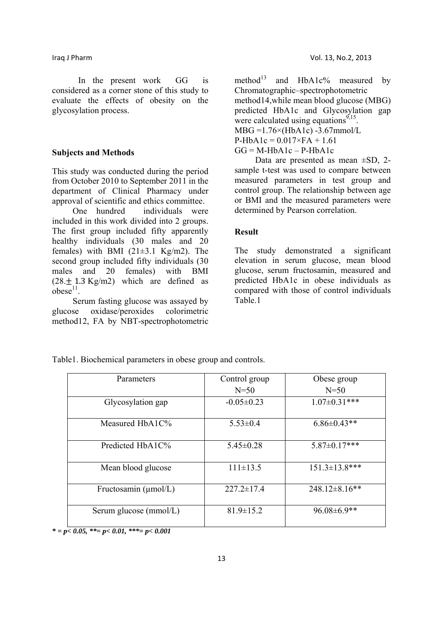In the present work GG is considered as a corner stone of this study to evaluate the effects of obesity on the glycosylation process.

## **Subjects and Methods**

This study was conducted during the period from October 2010 to September 2011 in the department of Clinical Pharmacy under approval of scientific and ethics committee.

 One hundred individuals were included in this work divided into 2 groups. The first group included fifty apparently healthy individuals (30 males and 20 females) with BMI  $(21\pm3.1 \text{ Kg/m2})$ . The second group included fifty individuals (30 males and 20 females) with BMI  $(28. + 1.3 \text{Kg/m2})$  which are defined as  $o$ bese<sup>11</sup>

 Serum fasting glucose was assayed by glucose oxidase/peroxides colorimetric method12, FA by NBT-spectrophotometric

method<sup>13</sup> and HbA1c% measured by Chromatographic–spectrophotometric method14,while mean blood glucose (MBG) predicted HbA1c and Glycosylation gap were calculated using equations<sup>9,15</sup>.  $MBG = 1.76 \times (HbA1c) -3.67$ mmol/L  $P-HbA1c = 0.017 \times FA + 1.61$  $GG = M - HbA1c - P - HbA1c$ 

Data are presented as mean  $\pm$ SD, 2sample t-test was used to compare between measured parameters in test group and control group. The relationship between age or BMI and the measured parameters were determined by Pearson correlation.

### **Result**

The study demonstrated a significant elevation in serum glucose, mean blood glucose, serum fructosamin, measured and predicted HbA1c in obese individuals as compared with those of control individuals Table.1

| Parameters                       | Control group    | Obese group          |
|----------------------------------|------------------|----------------------|
|                                  | $N=50$           | $N=50$               |
| Glycosylation gap                | $-0.05 \pm 0.23$ | $1.07 \pm 0.31$ ***  |
| Measured $HbA1C\%$               | $5.53 \pm 0.4$   | $6.86 \pm 0.43**$    |
| Predicted HbA1C%                 | $5.45 \pm 0.28$  | $5.87 \pm 0.17$ ***  |
| Mean blood glucose               | $111\pm 13.5$    | $151.3 \pm 13.8$ *** |
| Fructosamin $(\mu \text{mol/L})$ | $227.2 \pm 17.4$ | $248.12 \pm 8.16$ ** |
| Serum glucose (mmol/L)           | $81.9 \pm 15.2$  | 96.08±6.9**          |

Table1. Biochemical parameters in obese group and controls.

*\* = p< 0.05, \*\*= p< 0.01, \*\*\*= p< 0.001*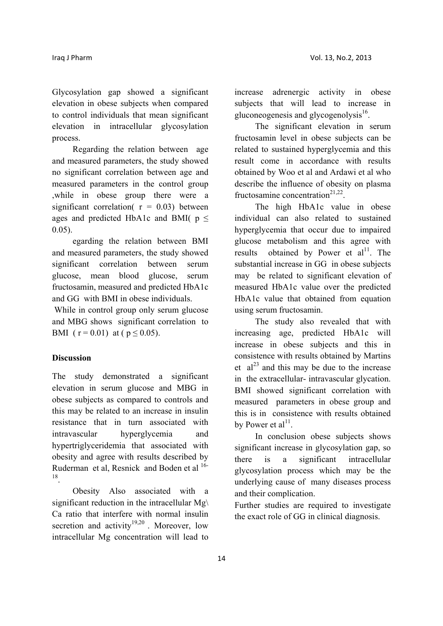Glycosylation gap showed a significant elevation in obese subjects when compared to control individuals that mean significant elevation in intracellular glycosylation process.

 Regarding the relation between age and measured parameters, the study showed no significant correlation between age and measured parameters in the control group ,while in obese group there were a significant correlation( $r = 0.03$ ) between ages and predicted HbA1c and BMI(  $p \leq$ 0.05).

 egarding the relation between BMI and measured parameters, the study showed significant correlation between serum glucose, mean blood glucose, serum fructosamin, measured and predicted HbA1c and GG with BMI in obese individuals.

 While in control group only serum glucose and MBG shows significant correlation to BMI ( $r = 0.01$ ) at ( $p \le 0.05$ ).

## **Discussion**

The study demonstrated a significant elevation in serum glucose and MBG in obese subjects as compared to controls and this may be related to an increase in insulin resistance that in turn associated with intravascular hyperglycemia and hypertriglyceridemia that associated with obesity and agree with results described by Ruderman et al, Resnick and Boden et al 16- 18.

 Obesity Also associated with a significant reduction in the intracellular  $Mg\$ Ca ratio that interfere with normal insulin secretion and activity<sup>19,20</sup>. Moreover, low intracellular Mg concentration will lead to

increase adrenergic activity in obese subjects that will lead to increase in gluconeogenesis and glycogenolysis $^{16}$ .

 The significant elevation in serum fructosamin level in obese subjects can be related to sustained hyperglycemia and this result come in accordance with results obtained by Woo et al and Ardawi et al who describe the influence of obesity on plasma fructosamine concentration<sup>21,22</sup>.

 The high HbA1c value in obese individual can also related to sustained hyperglycemia that occur due to impaired glucose metabolism and this agree with results obtained by Power et  $al<sup>11</sup>$ . The substantial increase in GG in obese subjects may be related to significant elevation of measured HbA1c value over the predicted HbA1c value that obtained from equation using serum fructosamin.

 The study also revealed that with increasing age, predicted HbA1c will increase in obese subjects and this in consistence with results obtained by Martins et  $al^{23}$  and this may be due to the increase in the extracellular- intravascular glycation. BMI showed significant correlation with measured parameters in obese group and this is in consistence with results obtained by Power et  $al<sup>11</sup>$ .

 In conclusion obese subjects shows significant increase in glycosylation gap, so there is a significant intracellular glycosylation process which may be the underlying cause of many diseases process and their complication.

Further studies are required to investigate the exact role of GG in clinical diagnosis.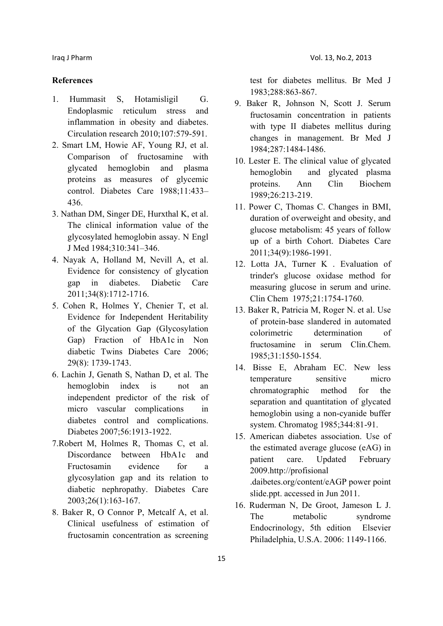## **References**

- 1. Hummasit S, Hotamisligil G. Endoplasmic reticulum stress and inflammation in obesity and diabetes. Circulation research 2010;107:579-591.
- 2. Smart LM, Howie AF, Young RJ, et al. Comparison of fructosamine with glycated hemoglobin and plasma proteins as measures of glycemic control. Diabetes Care 1988;11:433– 436.
- 3. Nathan DM, Singer DE, Hurxthal K, et al. The clinical information value of the glycosylated hemoglobin assay. N Engl J Med 1984;310:341–346.
- 4. Nayak A, Holland M, Nevill A, et al. Evidence for consistency of glycation gap in diabetes. Diabetic Care 2011;34(8):1712-1716.
- 5. Cohen R, Holmes Y, Chenier T, et al. Evidence for Independent Heritability of the Glycation Gap (Glycosylation Gap) Fraction of HbA1c in Non diabetic Twins Diabetes Care 2006; 29(8): 1739-1743.
- 6. Lachin J, Genath S, Nathan D, et al. The hemoglobin index is not an independent predictor of the risk of micro vascular complications in diabetes control and complications. Diabetes 2007;56:1913-1922.
- 7.Robert M, Holmes R, Thomas C, et al. Discordance between HbA1c and Fructosamin evidence for a glycosylation gap and its relation to diabetic nephropathy. Diabetes Care 2003;26(1):163-167.
- 8. Baker R, O Connor P, Metcalf A, et al. Clinical usefulness of estimation of fructosamin concentration as screening

test for diabetes mellitus. Br Med J 1983;288:863-867.

- 9. Baker R, Johnson N, Scott J. Serum fructosamin concentration in patients with type II diabetes mellitus during changes in management. Br Med J 1984;287:1484-1486.
- 10. Lester E. The clinical value of glycated hemoglobin and glycated plasma proteins. Ann Clin Biochem 1989;26:213-219.
- 11. Power C, Thomas C. Changes in BMI, duration of overweight and obesity, and glucose metabolism: 45 years of follow up of a birth Cohort. Diabetes Care 2011;34(9):1986-1991.
- 12. Lotta JA, Turner K . Evaluation of trinder's glucose oxidase method for measuring glucose in serum and urine. Clin Chem 1975;21:1754-1760.
- 13. Baker R, Patricia M, Roger N. et al. Use of protein-base slandered in automated colorimetric determination of fructosamine in serum Clin.Chem. 1985;31:1550-1554.
- 14. Bisse E, Abraham EC. New less temperature sensitive micro chromatographic method for the separation and quantitation of glycated hemoglobin using a non-cyanide buffer system. Chromatog 1985;344:81-91.
- 15. American diabetes association. Use of the estimated average glucose (eAG) in patient care. Updated February 2009.http://profisional .daibetes.org/content/eAGP power point slide.ppt. accessed in Jun 2011.
- 16. Ruderman N, De Groot, Jameson L J. The metabolic syndrome Endocrinology, 5th edition Elsevier Philadelphia, U.S.A. 2006: 1149-1166.